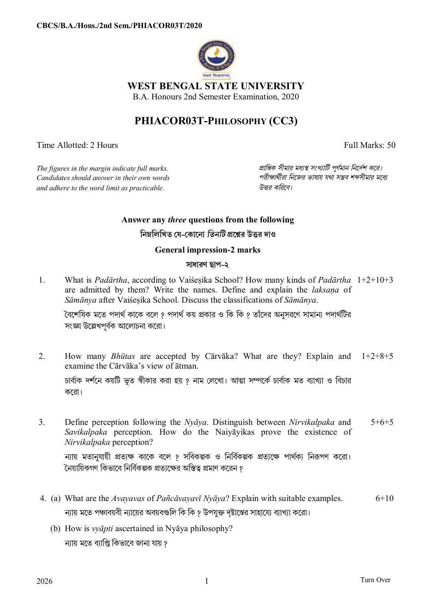

**WEST BENGAL STATE UNIVERSITY** 

B.A. Honours 2nd Semester Examination, 2020

## **PHIACOR03T-PHILOSOPHY (CC3)**

Time Allotted: 2 Hours Full Marks: 50

*The figures in the margin indicate full marks. pািnক সীমার মধ°s সংখ°ািট পূণমান িনেদশ কের। Candidates should answer in their own words পরীkাথীরা িনেজর ভাষায় যথা সmব শbসীমার মেধ° and adhere to the word limit as practicable. উtর কিরেব।*

## **Answer any** *three* **questions from the following**

**িনmিলিখত য-কােনা** *িতনিট* **pেűর উtর দাও**

**General impression-2 marks** 

## **সাধারণ ছাপ-২**

1. What is *Padārtha*, according to Vaiśeṣika School? How many kinds of *Padārtha* 1+2+10+3 are admitted by them? Write the names. Define and explain the *laksaṇa* of *Sāmānya* after Vaiśeṣika School. Discuss the classifications of *Sāmānya*.

বেশেষিক মতে পদার্থ কাকে বলে ? পদার্থ কয় প্রকার ও কি কি ? তাঁদের অনুসরণে সামান্য পদার্থটির সংজ্ঞা উল্লেখপূর্বক আলোচনা করো।

- 2. How many *Bhūtas* are accepted by Cārvāka? What are they? Explain and 1+2+8+5 examine the Cārvāka's view of ātman. চার্বাক দর্শনে কয়টি ভত স্বীকার করা হয় ? নাম লেখো। আত্মা সম্পর্কে চার্বাক মত ব্যাখ্যা ও বিচার কেরা।
- 3. Define perception following the *Nyāya*. Distinguish between *Nirvikalpaka* and *Savikalpaka* perception. How do the Naiyāyikas prove the existence of *Nirvikalpaka* perception? 5+6+5

ন্যায় মতানুযায়ী প্রত্যক্ষ কাকে বলে *१* সবিকল্পক ও নির্বিকল্পক প্রত্যক্ষে পার্থক্য নিরূপণ করো। নৈয়ায়িকগণ কিভাবে নির্বিকল্পক প্রতাক্ষের অস্তিত্ব প্রমাণ করেন ?

- 4. (a) What are the *Avayavas* of *Pañcāvayavī Nyāya*? Explain with suitable examples. ন্যায় মতে পঞ্চাবয়বী ন্যায়ের অবয়বগুলি কি কি ? উপযুক্ত দৃষ্টাম্ভের সাহায়ো ব্যাখ্যা করো। 6+10
	- (b) How is *vyāpti* ascertained in Nyāya philosophy? ন্যায় মতে ব্যাপ্তি কিভাবে জানা যায় *?*